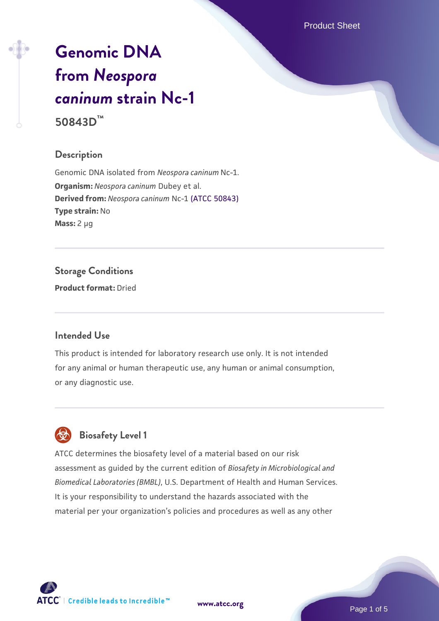Product Sheet

# **[Genomic DNA](https://www.atcc.org/products/50843d) [from](https://www.atcc.org/products/50843d)** *[Neospora](https://www.atcc.org/products/50843d) [caninum](https://www.atcc.org/products/50843d)* **[strain Nc-1](https://www.atcc.org/products/50843d) 50843D™**

## **Description**

Genomic DNA isolated from *Neospora caninum* Nc-1. **Organism:** *Neospora caninum* Dubey et al. **Derived from:** *Neospora caninum* Nc-1 [\(ATCC 50843\)](https://www.atcc.org/products/50843) **Type strain:** No **Mass:** 2 µg

**Storage Conditions Product format:** Dried

## **Intended Use**

This product is intended for laboratory research use only. It is not intended for any animal or human therapeutic use, any human or animal consumption, or any diagnostic use.



## **Biosafety Level 1**

ATCC determines the biosafety level of a material based on our risk assessment as guided by the current edition of *Biosafety in Microbiological and Biomedical Laboratories (BMBL)*, U.S. Department of Health and Human Services. It is your responsibility to understand the hazards associated with the material per your organization's policies and procedures as well as any other



**[www.atcc.org](http://www.atcc.org)**

Page 1 of 5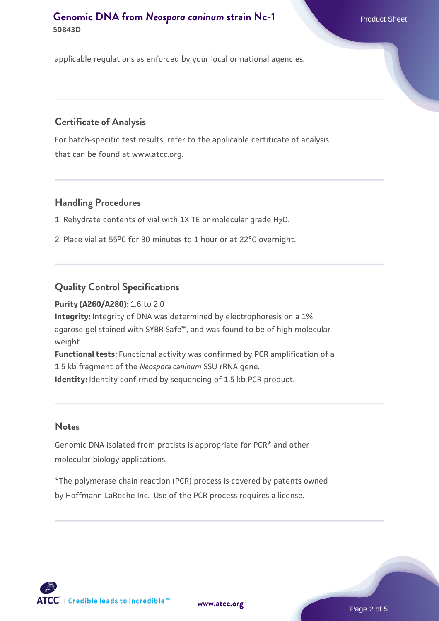applicable regulations as enforced by your local or national agencies.

## **Certificate of Analysis**

For batch-specific test results, refer to the applicable certificate of analysis that can be found at www.atcc.org.

#### **Handling Procedures**

1. Rehydrate contents of vial with 1X TE or molecular grade H2O.

2. Place vial at 55°C for 30 minutes to 1 hour or at 22°C overnight.

## **Quality Control Specifications**

#### **Purity (A260/A280):** 1.6 to 2.0

**Integrity:** Integrity of DNA was determined by electrophoresis on a 1% agarose gel stained with SYBR Safe™, and was found to be of high molecular weight.

**Functional tests:** Functional activity was confirmed by PCR amplification of a 1.5 kb fragment of the *Neospora caninum* SSU rRNA gene. **Identity:** Identity confirmed by sequencing of 1.5 kb PCR product.

#### **Notes**

Genomic DNA isolated from protists is appropriate for PCR\* and other molecular biology applications.

\*The polymerase chain reaction (PCR) process is covered by patents owned by Hoffmann-LaRoche Inc. Use of the PCR process requires a license.

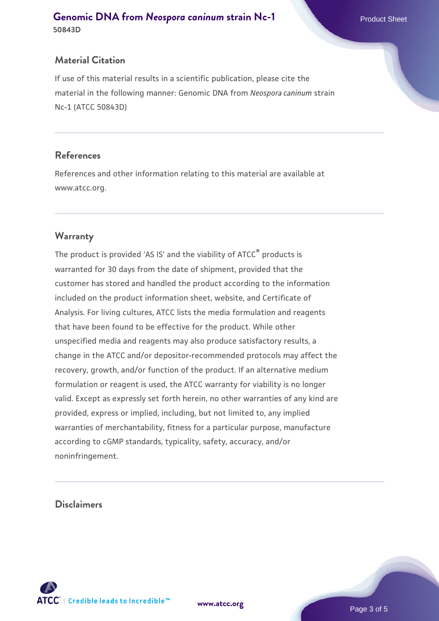#### **Material Citation**

If use of this material results in a scientific publication, please cite the material in the following manner: Genomic DNA from *Neospora caninum* strain Nc-1 (ATCC 50843D)

#### **References**

References and other information relating to this material are available at www.atcc.org.

## **Warranty**

The product is provided 'AS IS' and the viability of ATCC® products is warranted for 30 days from the date of shipment, provided that the customer has stored and handled the product according to the information included on the product information sheet, website, and Certificate of Analysis. For living cultures, ATCC lists the media formulation and reagents that have been found to be effective for the product. While other unspecified media and reagents may also produce satisfactory results, a change in the ATCC and/or depositor-recommended protocols may affect the recovery, growth, and/or function of the product. If an alternative medium formulation or reagent is used, the ATCC warranty for viability is no longer valid. Except as expressly set forth herein, no other warranties of any kind are provided, express or implied, including, but not limited to, any implied warranties of merchantability, fitness for a particular purpose, manufacture according to cGMP standards, typicality, safety, accuracy, and/or noninfringement.

#### **Disclaimers**



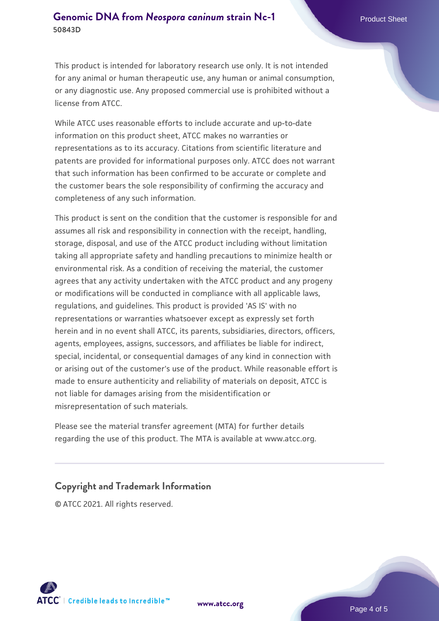This product is intended for laboratory research use only. It is not intended for any animal or human therapeutic use, any human or animal consumption, or any diagnostic use. Any proposed commercial use is prohibited without a license from ATCC.

While ATCC uses reasonable efforts to include accurate and up-to-date information on this product sheet, ATCC makes no warranties or representations as to its accuracy. Citations from scientific literature and patents are provided for informational purposes only. ATCC does not warrant that such information has been confirmed to be accurate or complete and the customer bears the sole responsibility of confirming the accuracy and completeness of any such information.

This product is sent on the condition that the customer is responsible for and assumes all risk and responsibility in connection with the receipt, handling, storage, disposal, and use of the ATCC product including without limitation taking all appropriate safety and handling precautions to minimize health or environmental risk. As a condition of receiving the material, the customer agrees that any activity undertaken with the ATCC product and any progeny or modifications will be conducted in compliance with all applicable laws, regulations, and guidelines. This product is provided 'AS IS' with no representations or warranties whatsoever except as expressly set forth herein and in no event shall ATCC, its parents, subsidiaries, directors, officers, agents, employees, assigns, successors, and affiliates be liable for indirect, special, incidental, or consequential damages of any kind in connection with or arising out of the customer's use of the product. While reasonable effort is made to ensure authenticity and reliability of materials on deposit, ATCC is not liable for damages arising from the misidentification or misrepresentation of such materials.

Please see the material transfer agreement (MTA) for further details regarding the use of this product. The MTA is available at www.atcc.org.

#### **Copyright and Trademark Information**

© ATCC 2021. All rights reserved.